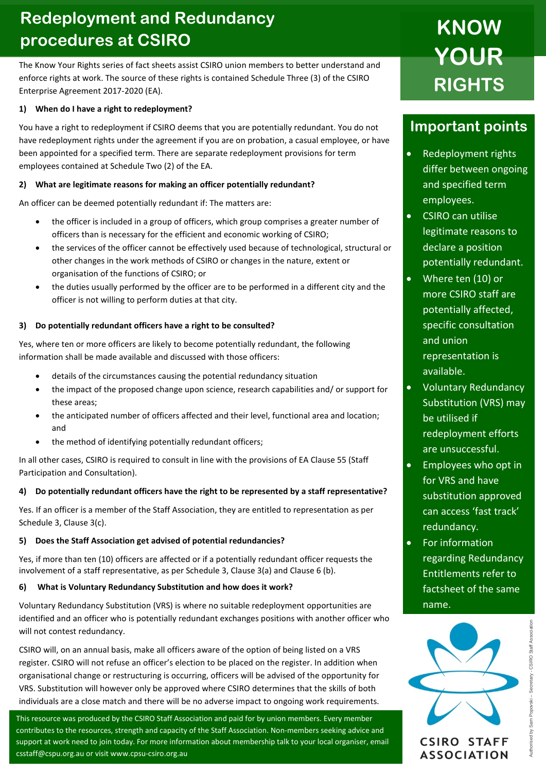## **Redeployment and Redundancy procedures at CSIRO**

The Know Your Rights series of fact sheets assist CSIRO union members to better understand and enforce rights at work. The source of these rights is contained Schedule Three (3) of the CSIRO Enterprise Agreement 2017-2020 (EA).

### **1) When do I have a right to redeployment?**

You have a right to redeployment if CSIRO deems that you are potentially redundant. You do not have redeployment rights under the agreement if you are on probation, a casual employee, or have been appointed for a specified term. There are separate redeployment provisions for term employees contained at Schedule Two (2) of the EA.

### **2) What are legitimate reasons for making an officer potentially redundant?**

An officer can be deemed potentially redundant if: The matters are:

- the officer is included in a group of officers, which group comprises a greater number of officers than is necessary for the efficient and economic working of CSIRO;
- the services of the officer cannot be effectively used because of technological, structural or other changes in the work methods of CSIRO or changes in the nature, extent or organisation of the functions of CSIRO; or
- the duties usually performed by the officer are to be performed in a different city and the officer is not willing to perform duties at that city.

### **3) Do potentially redundant officers have a right to be consulted?**

Yes, where ten or more officers are likely to become potentially redundant, the following information shall be made available and discussed with those officers:

- details of the circumstances causing the potential redundancy situation
- the impact of the proposed change upon science, research capabilities and/ or support for these areas;
- the anticipated number of officers affected and their level, functional area and location; and
- the method of identifying potentially redundant officers;

In all other cases, CSIRO is required to consult in line with the provisions of EA Clause 55 (Staff Participation and Consultation).

### **4) Do potentially redundant officers have the right to be represented by a staff representative?**

Yes. If an officer is a member of the Staff Association, they are entitled to representation as per Schedule 3, Clause 3(c).

### **5) Does the Staff Association get advised of potential redundancies?**

Yes, if more than ten (10) officers are affected or if a potentially redundant officer requests the involvement of a staff representative, as per Schedule 3, Clause 3(a) and Clause 6 (b).

### **6) What is Voluntary Redundancy Substitution and how does it work?**

Voluntary Redundancy Substitution (VRS) is where no suitable redeployment opportunities are identified and an officer who is potentially redundant exchanges positions with another officer who will not contest redundancy.

CSIRO will, on an annual basis, make all officers aware of the option of being listed on a VRS register. CSIRO will not refuse an officer's election to be placed on the register. In addition when organisational change or restructuring is occurring, officers will be advised of the opportunity for VRS. Substitution will however only be approved where CSIRO determines that the skills of both individuals are a close match and there will be no adverse impact to ongoing work requirements.

This resource was produced by the CSIRO Staff Association and paid for by union members. Every member  contributes to the resources, strength and capacity of the Staff Association. Non-members seeking advice and support at work need to join today. For more information about membership talk to your local organiser, email csstaff@cspu.org.au or visit www.cpsu-csiro.org.au

# **KNOW YOUR RIGHTS**

### **Important points**

- Redeployment rights differ between ongoing and specified term employees.
- CSIRO can utilise legitimate reasons to declare a position potentially redundant.
- Where ten (10) or more CSIRO staff are potentially affected, specific consultation and union representation is available.
- Voluntary Redundancy Substitution (VRS) may be utilised if redeployment efforts are unsuccessful.
- Employees who opt in for VRS and have substitution approved can access 'fast track' redundancy.
- For information regarding Redundancy Entitlements refer to factsheet of the same name.



**ASSOCIATION**